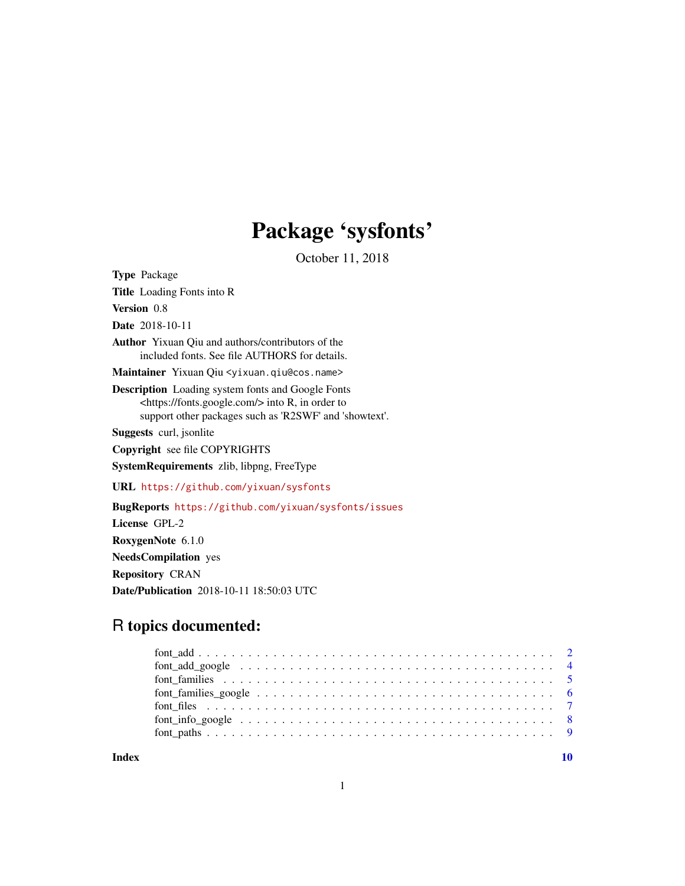## Package 'sysfonts'

October 11, 2018

<span id="page-0-0"></span>Type Package Title Loading Fonts into R Version 0.8 Date 2018-10-11 Author Yixuan Qiu and authors/contributors of the included fonts. See file AUTHORS for details. Maintainer Yixuan Qiu <yixuan.qiu@cos.name> Description Loading system fonts and Google Fonts <https://fonts.google.com/> into R, in order to support other packages such as 'R2SWF' and 'showtext'. Suggests curl, jsonlite Copyright see file COPYRIGHTS SystemRequirements zlib, libpng, FreeType URL <https://github.com/yixuan/sysfonts> BugReports <https://github.com/yixuan/sysfonts/issues> License GPL-2 RoxygenNote 6.1.0 NeedsCompilation yes Repository CRAN Date/Publication 2018-10-11 18:50:03 UTC

### R topics documented:

 $\blacksquare$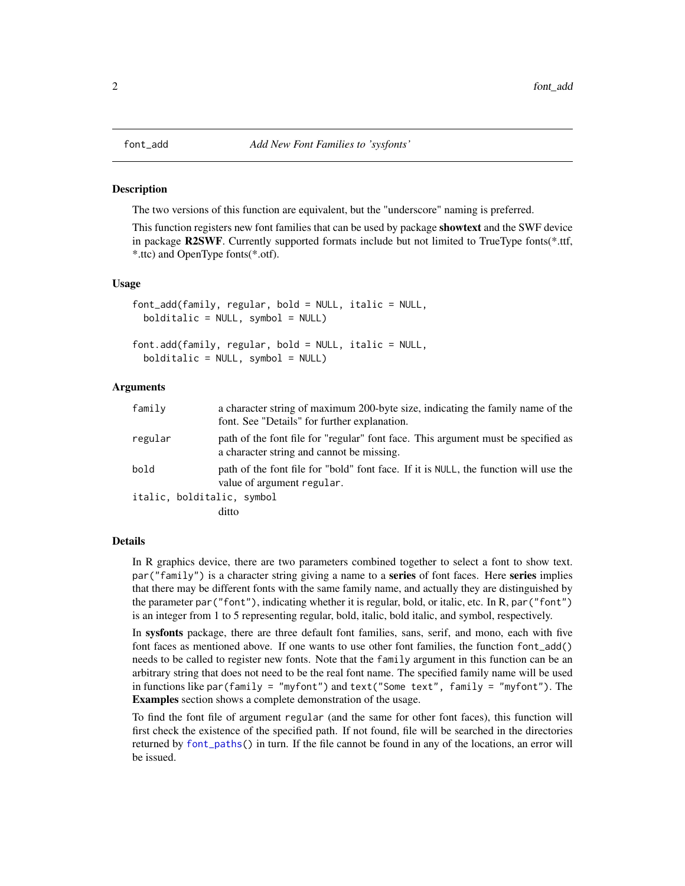<span id="page-1-1"></span><span id="page-1-0"></span>

#### **Description**

The two versions of this function are equivalent, but the "underscore" naming is preferred.

This function registers new font families that can be used by package **showtext** and the SWF device in package R2SWF. Currently supported formats include but not limited to TrueType fonts(\*.ttf, \*.ttc) and OpenType fonts(\*.otf).

#### Usage

```
font_add(family, regular, bold = NULL, italic = NULL,
 bolditalic = NULL, symbol = NULL)
font.add(family, regular, bold = NULL, italic = NULL,
 boldtil{a} = NULL, symbol = NULL)
```
#### Arguments

| family  | a character string of maximum 200-byte size, indicating the family name of the<br>font. See "Details" for further explanation. |
|---------|--------------------------------------------------------------------------------------------------------------------------------|
| regular | path of the font file for "regular" font face. This argument must be specified as<br>a character string and cannot be missing. |
| bold    | path of the font file for "bold" font face. If it is NULL, the function will use the<br>value of argument regular.             |
|         | italic, bolditalic, symbol                                                                                                     |
|         | ditto                                                                                                                          |

#### Details

In R graphics device, there are two parameters combined together to select a font to show text.  $par("family")$  is a character string giving a name to a **series** of font faces. Here **series** implies that there may be different fonts with the same family name, and actually they are distinguished by the parameter par("font"), indicating whether it is regular, bold, or italic, etc. In R, par("font") is an integer from 1 to 5 representing regular, bold, italic, bold italic, and symbol, respectively.

In sysfonts package, there are three default font families, sans, serif, and mono, each with five font faces as mentioned above. If one wants to use other font families, the function font\_add() needs to be called to register new fonts. Note that the family argument in this function can be an arbitrary string that does not need to be the real font name. The specified family name will be used in functions like par(family = "myfont") and text("Some text", family = "myfont"). The Examples section shows a complete demonstration of the usage.

To find the font file of argument regular (and the same for other font faces), this function will first check the existence of the specified path. If not found, file will be searched in the directories returned by [font\\_paths\(](#page-8-1)) in turn. If the file cannot be found in any of the locations, an error will be issued.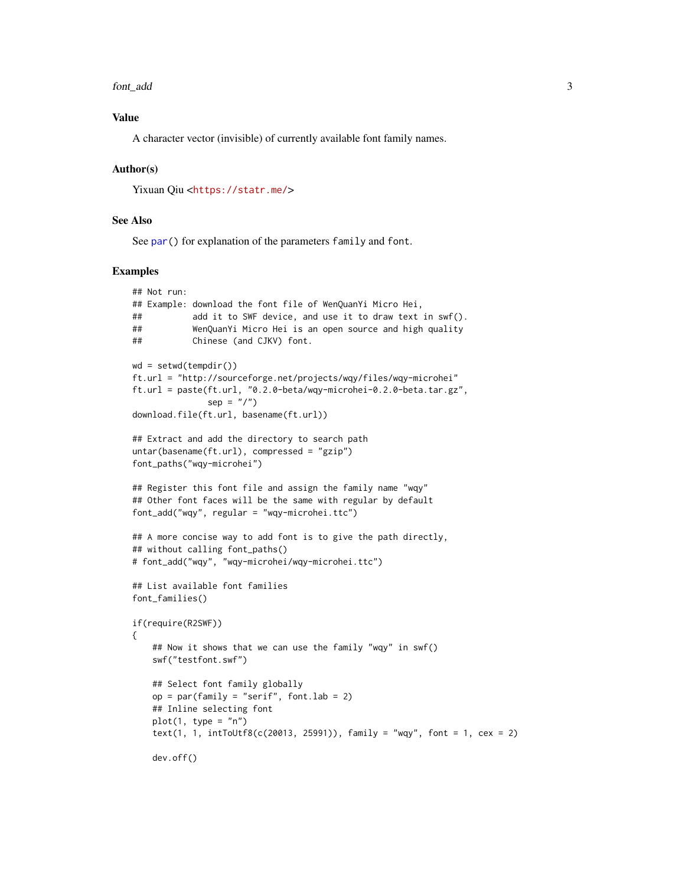#### <span id="page-2-0"></span>font\_add 3

#### Value

A character vector (invisible) of currently available font family names.

#### Author(s)

Yixuan Qiu <<https://statr.me/>>

#### See Also

See [par\(](#page-0-0)) for explanation of the parameters family and font.

#### Examples

```
## Not run:
## Example: download the font file of WenQuanYi Micro Hei,
## add it to SWF device, and use it to draw text in swf().
## WenQuanYi Micro Hei is an open source and high quality
## Chinese (and CJKV) font.
wd = setwd(tempdir())ft.url = "http://sourceforge.net/projects/wqy/files/wqy-microhei"
ft.url = paste(ft.url, "0.2.0-beta/wqy-microhei-0.2.0-beta.tar.gz",
               sep = "1"download.file(ft.url, basename(ft.url))
## Extract and add the directory to search path
untar(basename(ft.url), compressed = "gzip")
font_paths("wqy-microhei")
## Register this font file and assign the family name "wqy"
## Other font faces will be the same with regular by default
font_add("wqy", regular = "wqy-microhei.ttc")
## A more concise way to add font is to give the path directly,
## without calling font_paths()
# font_add("wqy", "wqy-microhei/wqy-microhei.ttc")
## List available font families
font_families()
if(require(R2SWF))
{
    ## Now it shows that we can use the family "wqy" in swf()
    swf("testfont.swf")
    ## Select font family globally
   op = par(family = "script", font.lab = 2)## Inline selecting font
   plot(1, type = "n")text(1, 1, intToUtf8(c(20013, 25991)), family = "wqy", font = 1, cex = 2)dev.off()
```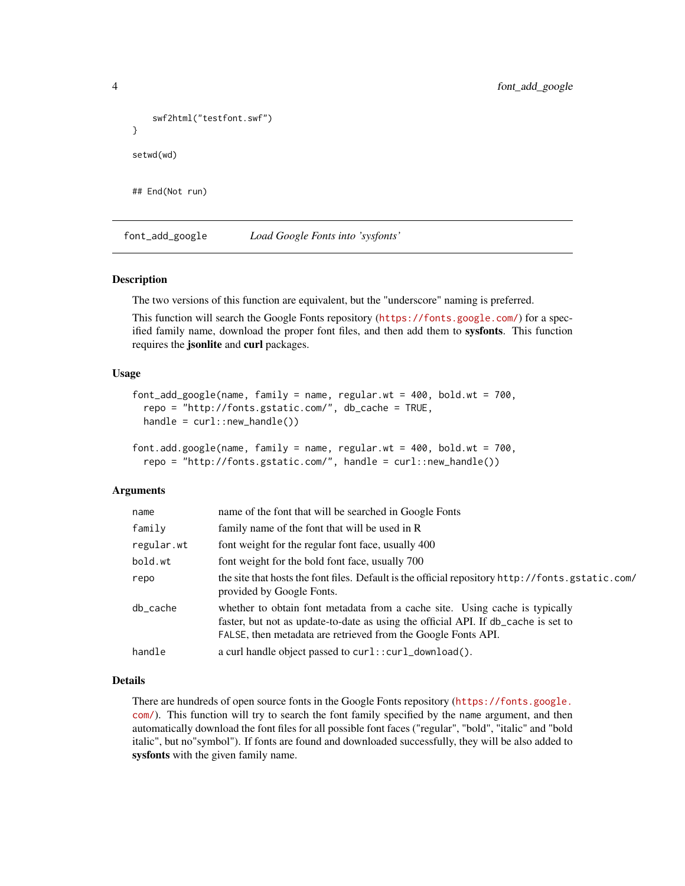```
swf2html("testfont.swf")
}
setwd(wd)
## End(Not run)
```
<span id="page-3-1"></span>font\_add\_google *Load Google Fonts into 'sysfonts'*

#### Description

The two versions of this function are equivalent, but the "underscore" naming is preferred.

This function will search the Google Fonts repository (<https://fonts.google.com/>) for a specified family name, download the proper font files, and then add them to sysfonts. This function requires the jsonlite and curl packages.

#### Usage

```
font_add_google(name, family = name, regular.wt = 400, bold.wt = 700,
  repo = "http://fonts.gstatic.com/", db_cache = TRUE,
 handle = curl::new_handle())
```

```
font.add.google(name, family = name, regular.wt = 400, bold.wt = 700,
  repo = "http://fonts.gstatic.com/", handle = curl::new_handle())
```
#### Arguments

| name       | name of the font that will be searched in Google Fonts                                                                                                                                                                             |  |
|------------|------------------------------------------------------------------------------------------------------------------------------------------------------------------------------------------------------------------------------------|--|
| family     | family name of the font that will be used in R                                                                                                                                                                                     |  |
| regular.wt | font weight for the regular font face, usually 400                                                                                                                                                                                 |  |
| bold.wt    | font weight for the bold font face, usually 700                                                                                                                                                                                    |  |
| repo       | the site that hosts the font files. Default is the official repository http://fonts.gstatic.com/<br>provided by Google Fonts.                                                                                                      |  |
| db_cache   | whether to obtain font metadata from a cache site. Using cache is typically<br>faster, but not as update-to-date as using the official API. If db_cache is set to<br>FALSE, then metadata are retrieved from the Google Fonts API. |  |
| handle     | a curl handle object passed to curl:: curl_download().                                                                                                                                                                             |  |
|            |                                                                                                                                                                                                                                    |  |

#### Details

There are hundreds of open source fonts in the Google Fonts repository ([https://fonts.google.](https://fonts.google.com/) [com/](https://fonts.google.com/)). This function will try to search the font family specified by the name argument, and then automatically download the font files for all possible font faces ("regular", "bold", "italic" and "bold italic", but no"symbol"). If fonts are found and downloaded successfully, they will be also added to sysfonts with the given family name.

<span id="page-3-0"></span>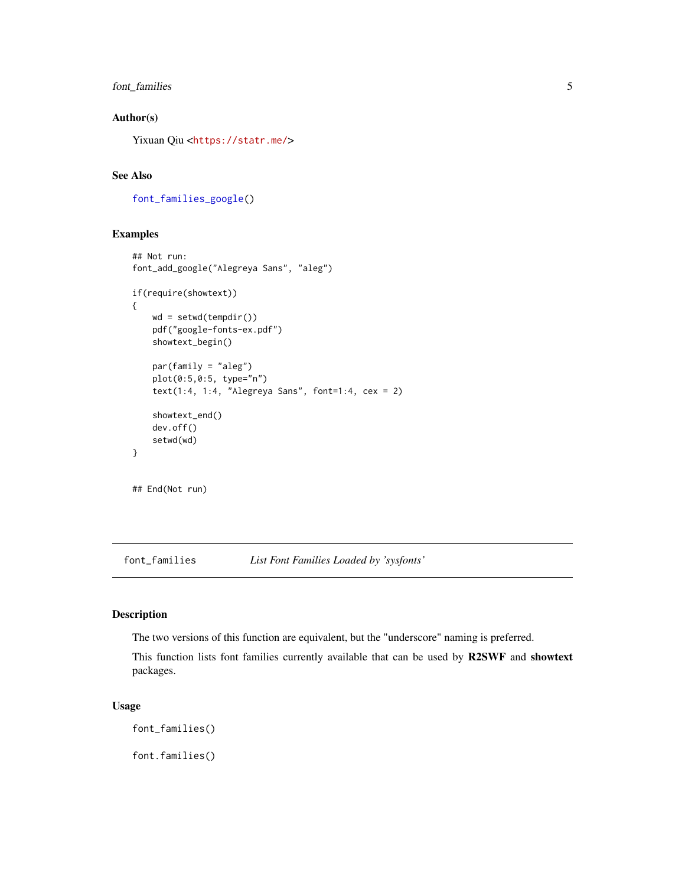#### <span id="page-4-0"></span>font\_families 5

#### Author(s)

Yixuan Qiu <<https://statr.me/>>

#### See Also

[font\\_families\\_google\(](#page-5-1))

#### Examples

```
## Not run:
font_add_google("Alegreya Sans", "aleg")
if(require(showtext))
{
   wd = setwd(tempdir())
   pdf("google-fonts-ex.pdf")
   showtext_begin()
   par(family = "aleg")
   plot(0:5,0:5, type="n")
   text(1:4, 1:4, "Alegreya Sans", font=1:4, cex = 2)
   showtext_end()
   dev.off()
    setwd(wd)
}
## End(Not run)
```
font\_families *List Font Families Loaded by 'sysfonts'*

#### Description

The two versions of this function are equivalent, but the "underscore" naming is preferred.

This function lists font families currently available that can be used by R2SWF and showtext packages.

#### Usage

```
font_families()
```
font.families()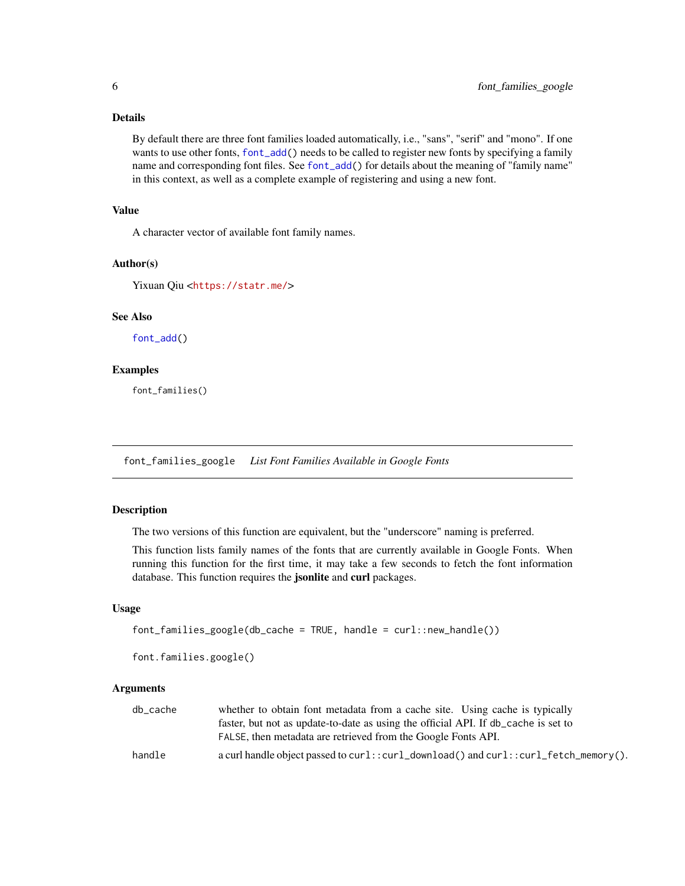#### <span id="page-5-0"></span>Details

By default there are three font families loaded automatically, i.e., "sans", "serif" and "mono". If one wants to use other fonts, [font\\_add\(](#page-1-1)) needs to be called to register new fonts by specifying a family name and corresponding font files. See [font\\_add\(](#page-1-1)) for details about the meaning of "family name" in this context, as well as a complete example of registering and using a new font.

#### Value

A character vector of available font family names.

#### Author(s)

Yixuan Qiu <<https://statr.me/>>

#### See Also

[font\\_add\(](#page-1-1))

#### Examples

font\_families()

<span id="page-5-1"></span>font\_families\_google *List Font Families Available in Google Fonts*

#### Description

The two versions of this function are equivalent, but the "underscore" naming is preferred.

This function lists family names of the fonts that are currently available in Google Fonts. When running this function for the first time, it may take a few seconds to fetch the font information database. This function requires the jsonlite and curl packages.

#### Usage

```
font_families_google(db_cache = TRUE, handle = curl::new_handle())
```

```
font.families.google()
```
#### Arguments

| db cache | whether to obtain font metadata from a cache site. Using cache is typically         |
|----------|-------------------------------------------------------------------------------------|
|          | faster, but not as update-to-date as using the official API. If db cache is set to  |
|          | FALSE, then metadata are retrieved from the Google Fonts API.                       |
| handle   | a curl handle object passed to curl::curl_download() and curl::curl_fetch_memory(). |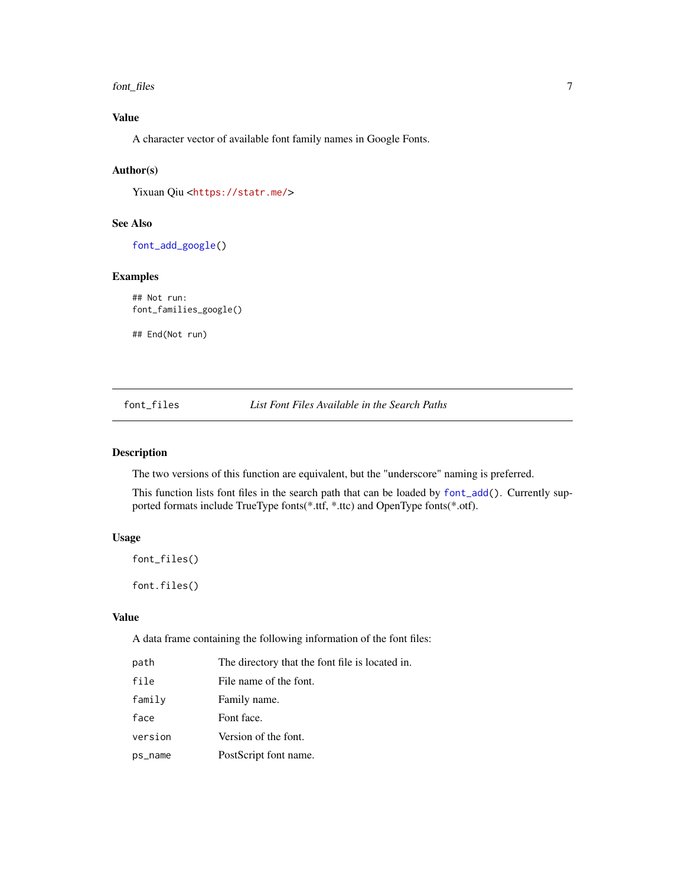<span id="page-6-0"></span>font\_files 7

#### Value

A character vector of available font family names in Google Fonts.

#### Author(s)

Yixuan Qiu <<https://statr.me/>>

#### See Also

[font\\_add\\_google\(](#page-3-1))

#### Examples

## Not run: font\_families\_google()

## End(Not run)

font\_files *List Font Files Available in the Search Paths*

#### Description

The two versions of this function are equivalent, but the "underscore" naming is preferred.

This function lists font files in the search path that can be loaded by [font\\_add\(](#page-1-1)). Currently supported formats include TrueType fonts(\*.ttf, \*.ttc) and OpenType fonts(\*.otf).

#### Usage

```
font_files()
```
font.files()

#### Value

A data frame containing the following information of the font files:

| path    | The directory that the font file is located in. |
|---------|-------------------------------------------------|
| file    | File name of the font.                          |
| family  | Family name.                                    |
| face    | Font face.                                      |
| version | Version of the font.                            |
| ps_name | PostScript font name.                           |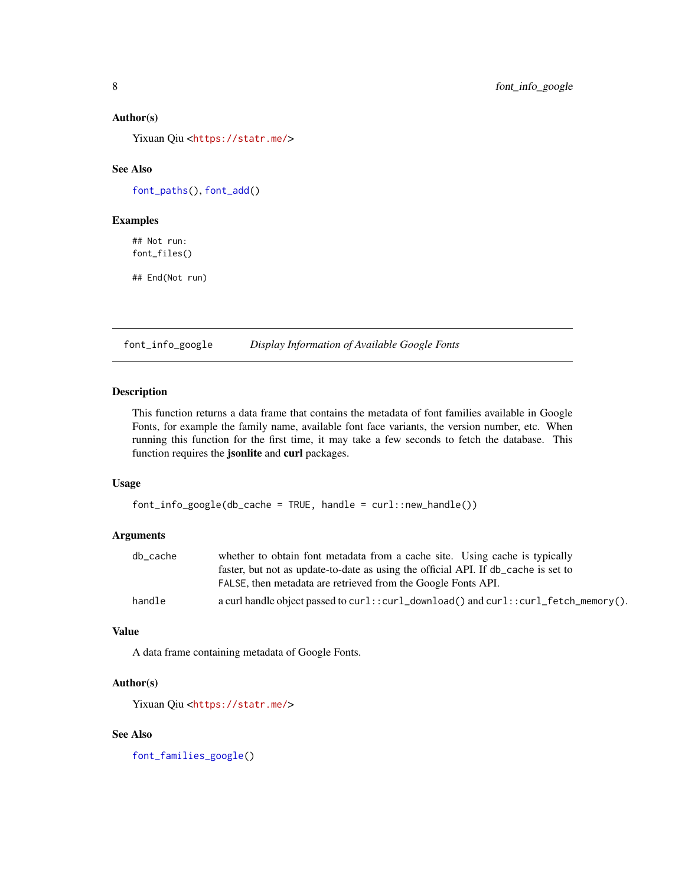#### Author(s)

Yixuan Qiu <<https://statr.me/>>

#### See Also

[font\\_paths\(](#page-8-1)), [font\\_add\(](#page-1-1))

#### Examples

## Not run: font\_files()

## End(Not run)

font\_info\_google *Display Information of Available Google Fonts*

#### Description

This function returns a data frame that contains the metadata of font families available in Google Fonts, for example the family name, available font face variants, the version number, etc. When running this function for the first time, it may take a few seconds to fetch the database. This function requires the jsonlite and curl packages.

#### Usage

```
font_info_google(db_cache = TRUE, handle = curl::new_handle())
```
#### Arguments

| db cache | whether to obtain font metadata from a cache site. Using cache is typically         |
|----------|-------------------------------------------------------------------------------------|
|          | faster, but not as update-to-date as using the official API. If db cache is set to  |
|          | FALSE, then metadata are retrieved from the Google Fonts API.                       |
| handle   | a curl handle object passed to curl::curl_download() and curl::curl_fetch_memory(). |

#### Value

A data frame containing metadata of Google Fonts.

#### Author(s)

Yixuan Qiu <<https://statr.me/>>

#### See Also

[font\\_families\\_google\(](#page-5-1))

<span id="page-7-0"></span>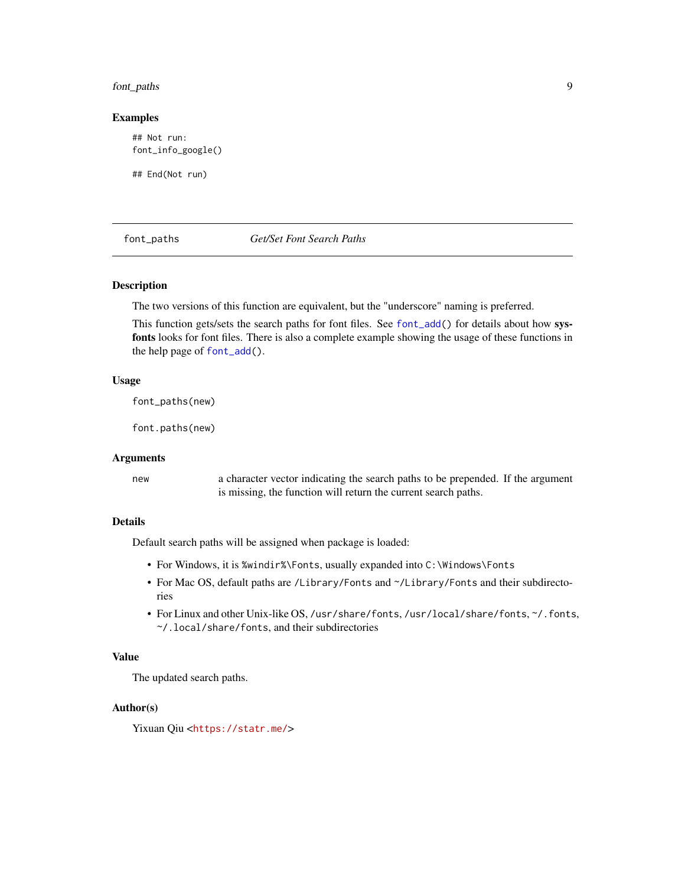#### <span id="page-8-0"></span>font\_paths 9

#### Examples

## Not run: font\_info\_google()

## End(Not run)

#### <span id="page-8-1"></span>font\_paths *Get/Set Font Search Paths*

#### Description

The two versions of this function are equivalent, but the "underscore" naming is preferred.

This function gets/sets the search paths for font files. See [font\\_add\(](#page-1-1)) for details about how sysfonts looks for font files. There is also a complete example showing the usage of these functions in the help page of [font\\_add\(](#page-1-1)).

#### Usage

font\_paths(new)

font.paths(new)

#### Arguments

new a character vector indicating the search paths to be prepended. If the argument is missing, the function will return the current search paths.

#### Details

Default search paths will be assigned when package is loaded:

- For Windows, it is %windir%\Fonts, usually expanded into C:\Windows\Fonts
- For Mac OS, default paths are /Library/Fonts and ~/Library/Fonts and their subdirectories
- For Linux and other Unix-like OS, /usr/share/fonts, /usr/local/share/fonts, ~/.fonts, ~/.local/share/fonts, and their subdirectories

#### Value

The updated search paths.

#### Author(s)

Yixuan Qiu <<https://statr.me/>>